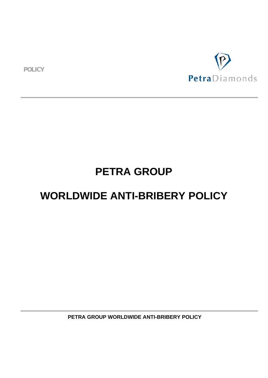**POLICY**



# **PETRA GROUP**

## **WORLDWIDE ANTI-BRIBERY POLICY**

 **PETRA GROUP WORLDWIDE ANTI-BRIBERY POLICY**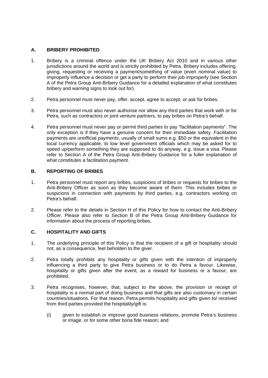## **A. BRIBERY PROHIBITED**

- 1. Bribery is a criminal offence under the UK Bribery Act 2010 and in various other jurisdictions around the world and is strictly prohibited by Petra. Bribery includes offering, giving, requesting or receiving a payment/something of value (even nominal value) to improperly influence a decision or get a party to perform their job improperly (see Section A of the Petra Group Anti-Bribery Guidance for a detailed explanation of what constitutes bribery and warning signs to look out for).
- 2. Petra personnel must never pay, offer, accept, agree to accept, or ask for bribes.
- 3. Petra personnel must also never authorise nor allow any third parties that work with or for Petra, such as contractors or joint venture partners, to pay bribes on Petra's behalf.
- 4. Petra personnel must never pay or permit third parties to pay "facilitation payments". The only exception is if they have a genuine concern for their immediate safety. Facilitation payments are unofficial payments, usually of small sums e.g. \$50 or the equivalent in the local currency applicable, to low level government officials which may be asked for to speed up/perform something they are supposed to do anyway, e.g. issue a visa. Please refer to Section A of the Petra Group Anti-Bribery Guidance for a fuller explanation of what constitutes a facilitation payment.

## **B. REPORTING OF BRIBES**

- 1. Petra personnel must report any bribes, suspicions of bribes or requests for bribes to the Anti-Bribery Officer as soon as they become aware of them. This includes bribes or suspicions in connection with payments by third parties, e.g. contractors working on Petra's behalf.
- 2. Please refer to the details in Section H of this Policy for how to contact the Anti-Bribery Officer. Please also refer to Section B of the Petra Group Anti-Bribery Guidance for information about the process of reporting bribes.

## **C. HOSPITALITY AND GIFTS**

- 1. The underlying principle of this Policy is that the recipient of a gift or hospitality should not, as a consequence, feel beholden to the giver.
- 2. Petra totally prohibits any hospitality or gifts given with the intention of improperly influencing a third party to give Petra business or to do Petra a favour. Likewise, hospitality or gifts given after the event, as a reward for business or a favour, are prohibited.
- 3. Petra recognises, however, that, subject to the above, the provision or receipt of hospitality is a normal part of doing business and that gifts are also customary in certain countries/situations. For that reason, Petra permits hospitality and gifts given to/ received from third parties provided the hospitality/gift is:
	- (i) given to establish or improve good business relations, promote Petra's business or image, or for some other bona fide reason; and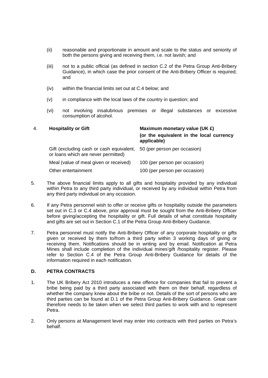- (ii) reasonable and proportionate in amount and scale to the status and seniority of both the persons giving and receiving them, i.e. not lavish; and
- (iii) not to a public official (as defined in section C.2 of the Petra Group Anti-Bribery Guidance), in which case the prior consent of the Anti-Bribery Officer is required; and
- (iv) within the financial limits set out at C.4 below; and
- (v) in compliance with the local laws of the country in question; and
- (vi) not involving insalubrious premises or illegal substances or excessive consumption of alcohol.

| 4. | <b>Hospitality or Gift</b>                                                      | Maximum monetary value (UK £)                           |  |
|----|---------------------------------------------------------------------------------|---------------------------------------------------------|--|
|    |                                                                                 | (or the equivalent in the local currency<br>applicable) |  |
|    | Gift (excluding cash or cash equivalent,<br>or loans which are never permitted) | 50 (per person per occasion)                            |  |
|    | Meal (value of meal given or received)                                          | 100 (per person per occasion)                           |  |
|    | Other entertainment                                                             | 100 (per person per occasion)                           |  |

- 5. The above financial limits apply to all gifts and hospitality provided by any individual within Petra to any third party individual, or received by any individual within Petra from any third party individual on any occasion.
- 6. If any Petra personnel wish to offer or receive gifts or hospitality outside the parameters set out in C.3 or C.4 above, prior approval must be sought from the Anti-Bribery Officer before giving/accepting the hospitality or gift. Full details of what constitute hospitality and gifts are set out in Section C.1 of the Petra Group Anti-Bribery Guidance.
- 7. Petra personnel must notify the Anti-Bribery Officer of any corporate hospitality or gifts given or received by them to/from a third party within 3 working days of giving or receiving them. Notifications should be in writing and by email. Notification at Petra Mines shall include completion of the individual mines'gift /hospitality register. Please refer to Section C.4 of the Petra Group Anti-Bribery Guidance for details of the information required in each notification.

#### **D. PETRA CONTRACTS**

- 1. The UK Bribery Act 2010 introduces a new offence for companies that fail to prevent a bribe being paid by a third party associated with them on their behalf, regardless of whether the company knew about the bribe or not. Details of the sort of persons who are third parties can be found at D.1 of the Petra Group Anti-Bribery Guidance. Great care therefore needs to be taken when we select third parties to work with and to represent Petra.
- 2. Only persons at Management level may enter into contracts with third parties on Petra's behalf.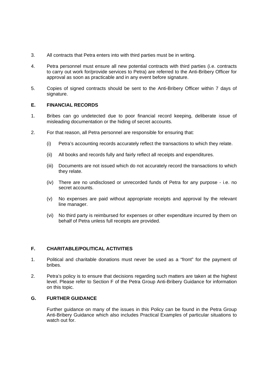- 3. All contracts that Petra enters into with third parties must be in writing.
- 4. Petra personnel must ensure all new potential contracts with third parties (i.e. contracts to carry out work for/provide services to Petra) are referred to the Anti-Bribery Officer for approval as soon as practicable and in any event before signature.
- 5. Copies of signed contracts should be sent to the Anti-Bribery Officer within 7 days of signature.

#### **E. FINANCIAL RECORDS**

- 1. Bribes can go undetected due to poor financial record keeping, deliberate issue of misleading documentation or the hiding of secret accounts.
- 2. For that reason, all Petra personnel are responsible for ensuring that:
	- (i) Petra's accounting records accurately reflect the transactions to which they relate.
	- (ii) All books and records fully and fairly reflect all receipts and expenditures.
	- (iii) Documents are not issued which do not accurately record the transactions to which they relate.
	- (iv) There are no undisclosed or unrecorded funds of Petra for any purpose i.e. no secret accounts.
	- (v) No expenses are paid without appropriate receipts and approval by the relevant line manager.
	- (vi) No third party is reimbursed for expenses or other expenditure incurred by them on behalf of Petra unless full receipts are provided.

## **F. CHARITABLE/POLITICAL ACTIVITIES**

- 1. Political and charitable donations must never be used as a "front" for the payment of bribes.
- 2. Petra's policy is to ensure that decisions regarding such matters are taken at the highest level. Please refer to Section F of the Petra Group Anti-Bribery Guidance for information on this topic.

## **G. FURTHER GUIDANCE**

Further guidance on many of the issues in this Policy can be found in the Petra Group Anti-Bribery Guidance which also includes Practical Examples of particular situations to watch out for.